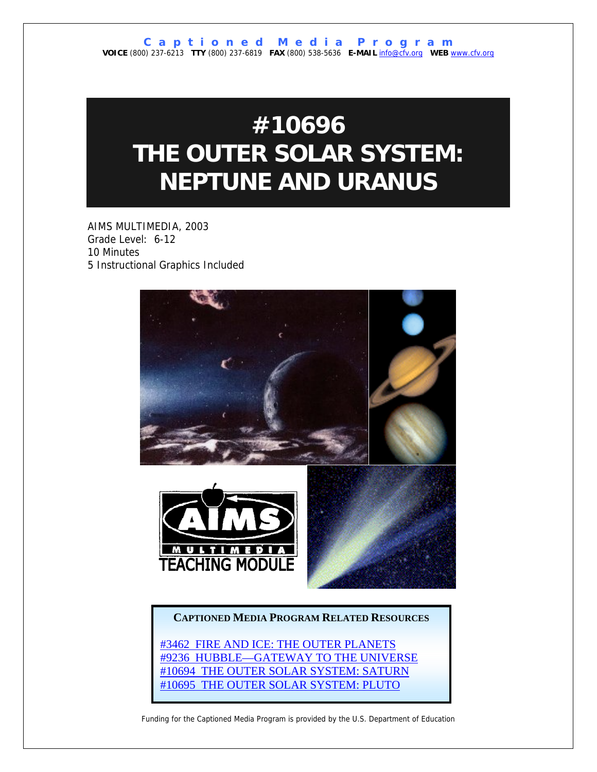# **#10696 THE OUTER SOLAR SYSTEM: NEPTUNE AND URANUS**

AIMS MULTIMEDIA, 2003 Grade Level: 6-12 10 Minutes 5 Instructional Graphics Included



## **CAPTIONED MEDIA PROGRAM RELATED RESOURCES**

[#3462 FIRE AND ICE: THE OUTER PLANETS](http://www.captionedmedia.org/titledetail.asp?dn=3462) [#9236 HUBBLE—GATEWAY TO THE UNIVERSE](http://www.captionedmedia.org/titledetail.asp?dn=9236) [#10694 THE OUTER SOLAR SYSTEM: SATURN](http://www.captionedmedia.org/titledetail.asp?dn=10694) [#10695 THE OUTER SOLAR SYSTEM: PLUTO](http://www.captionedmedia.org/titledetail.asp?dn=10695)

Funding for the Captioned Media Program is provided by the U.S. Department of Education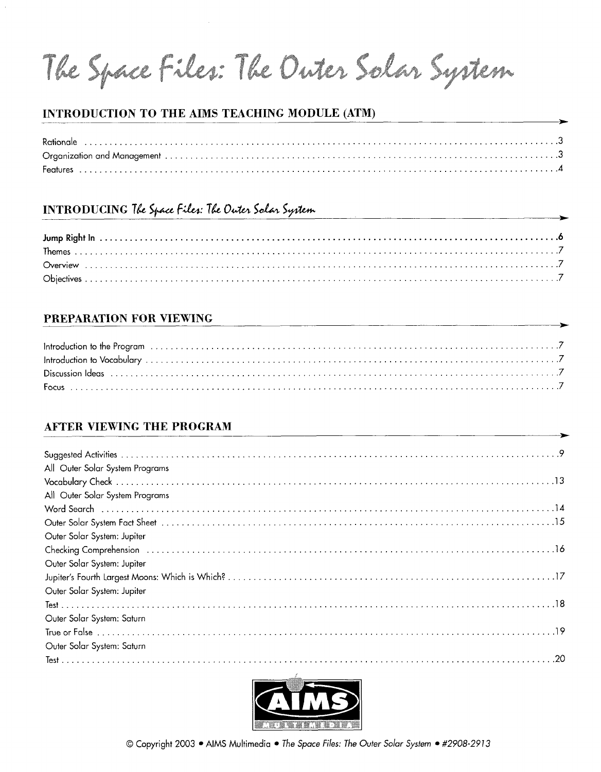The Space Files: The Outer Solar System

## INTRODUCTION TO THE AIMS TEACHING MODULE (ATM)

## **INTRODUCING The Space Files: The Outer Solar System**

## PREPARATION FOR VIEWING

## **AFTER VIEWING THE PROGRAM**

| All Outer Solar System Programs                                                                                                                                                                                                      |
|--------------------------------------------------------------------------------------------------------------------------------------------------------------------------------------------------------------------------------------|
|                                                                                                                                                                                                                                      |
| All Outer Solar System Programs                                                                                                                                                                                                      |
|                                                                                                                                                                                                                                      |
| Vord Search<br>Word Search<br>Outer Solar System Fact Sheet                                                                                                                                                                          |
| Outer Solar System: Jupiter                                                                                                                                                                                                          |
|                                                                                                                                                                                                                                      |
| Outer Solar System: Jupiter                                                                                                                                                                                                          |
|                                                                                                                                                                                                                                      |
| Outer Solar System: Jupiter                                                                                                                                                                                                          |
|                                                                                                                                                                                                                                      |
| Outer Solar System: Saturn                                                                                                                                                                                                           |
| <u>True or False (1999), and the contract of the contract of the contract of the contract of the critical contract of the critical contract of the critical contract of the critical contract of the critical contract of the cr</u> |
| Outer Solar System: Saturn                                                                                                                                                                                                           |
|                                                                                                                                                                                                                                      |

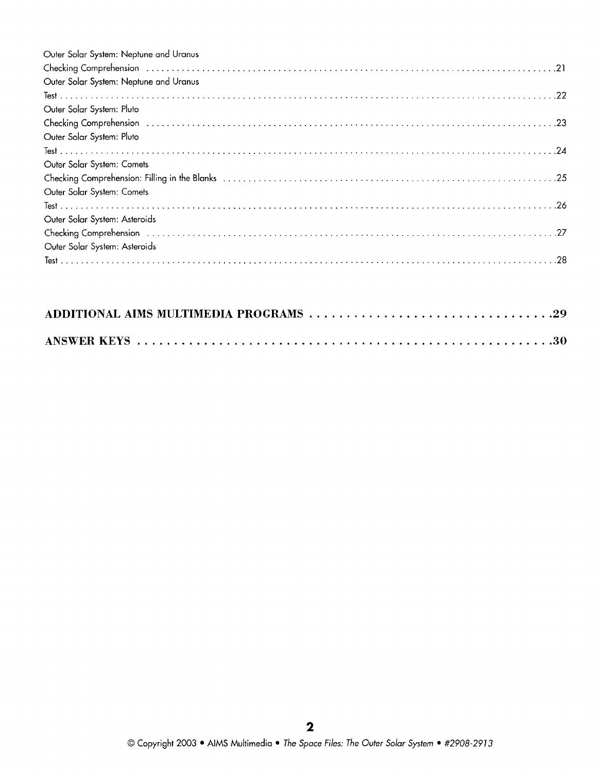| Outer Solar System: Neptune and Uranus                                                                                                                                                                                         |
|--------------------------------------------------------------------------------------------------------------------------------------------------------------------------------------------------------------------------------|
| Checking Comprehension (and according to the comprehension of the comprehension of the comprehension (and the comprehension) $21$                                                                                              |
| Outer Solar System: Neptune and Uranus                                                                                                                                                                                         |
|                                                                                                                                                                                                                                |
| Outer Solar System: Pluto                                                                                                                                                                                                      |
| Checking Comprehension (and according to the comprehension of the contract of the comprehension (and the contract of the contract of the contract of the contract of the contract of the contract of the contract of the contr |
| Outer Solar System: Pluto                                                                                                                                                                                                      |
|                                                                                                                                                                                                                                |
| Outer Solar System: Comets                                                                                                                                                                                                     |
|                                                                                                                                                                                                                                |
| Outer Solar System: Comets                                                                                                                                                                                                     |
|                                                                                                                                                                                                                                |
| Outer Solar System: Asteroids                                                                                                                                                                                                  |
|                                                                                                                                                                                                                                |
| Outer Solar System: Asteroids                                                                                                                                                                                                  |
|                                                                                                                                                                                                                                |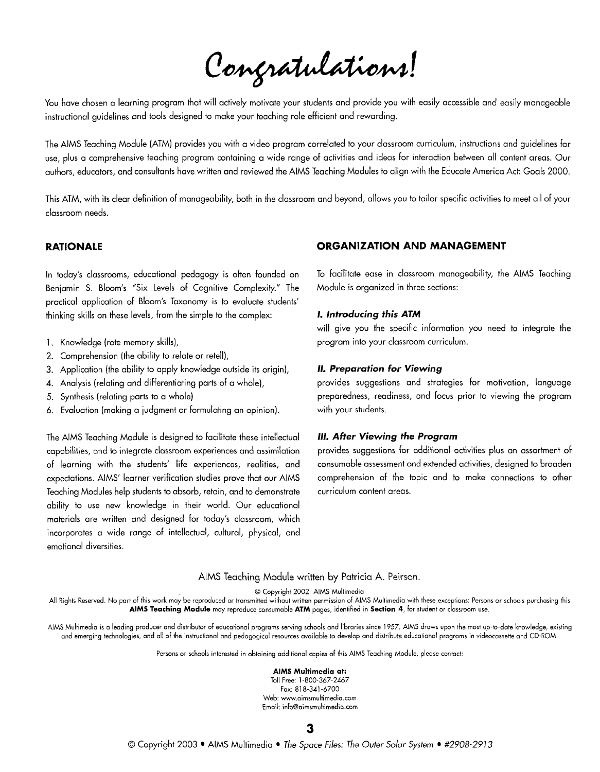Congratulations!

You have chosen a learning program that will actively motivate your students and provide you with easily accessible and easily manageable instructional guidelines and tools designed to make your teaching role efficient and rewarding.

The AlMS Teaching Module (ATM) provides you with a video program correlated to your classroom curriculum, instructions and guidelines for use, plus a comprehensive teaching program containing a wide range of activities and ideas for interaction between all content areas. Our authors, educators, and consultants have written and reviewed the AIMS Teaching Modules to align with the Educate America Act: Goals 2000.

This ATM, with its clear definition of manageabiliiy, both in the classroom and beyond, allows you to tailor specific activities to meet all of your classroom needs.

In today's classrooms, educational pedagogy is often founded on Benjamin S. Bloom's "Six Levels of Cognitive Complexity." The practical application of Bloom's Taxonomy is to evaluate students' thinking skills on these levels, from the simple to the complex:

- 1. Knowledge (rote memory skills),
- 2. comprehension (the ability to relate or retell),
- 3. Application (the ability to apply knowledge outside its origin),
- 4. Analysis (relating and differentiating parts of a whole),
- 5. Synthesis (relating parts to a whole)
- 6. Evaluation (making a judgment or formulating an opinion).

The AIMS Teaching Module is designed to facilitate these intellectual **111. After Viewing the Program** capabilities, and to integrate classroom experiences and assimilation provides suggestions for additional activities plus an assortment of of learning with the students' life experiences, realities, and consumable assessment and extended activities, designed to broaden expectations. AIMS' learner verification studies prove that our AIMS comprehension of the topic and to make connections to other Teaching Modules help students to absorb, retain, and to demonstrate curriculum content areas. ability to use new knowledge in their world. Our educational materials are written and designed for today's classroom, which incorporates a wide range of intellectual, cultural, physical, and emotional diversities.

#### **RATIONALE ORGANIZATION AND MANAGEMENT**

To facilitate ease in classroom manageability, the AlMS Teaching Module is organized in three sections:

#### **I. introducing this ATM**

will give you the specific information you need to integrate the program into your classroom curriculum.

#### **11. Preparation for Viewing**

provides suggestions and strategies for motivation, language preparedness, readiness, and focus prior to viewing the program with your students.

#### AlMS Teaching Module written by Patricia A. Peirson.

0 Copyright 2002 AlMS Multimedio

All Rights Reserved. No part of this work may be reproduced or transmitted without written permission of AIMS Multimedia with these exceptions: Persons or schools purchasing this **AlMS Teaching Module** rnoy reproduce consumoble **ATM** pages, identified in **Section 4,** for student or classroom use.

AIMS Multimedio is o leading producer ond distributor of educational programs serving schools and librories since 1957. AlMS draws upon the most up-to-date knowledge, existing and emerging technologies, and all of the instructional and pedogogicol resources ovoiloble to develop and distribute educotionol programs in videocassette and CD-ROM.

Persons or schools interested in obtaining additional copies of this AIMS Teaching Module, please contact:

#### **AlMS Multimedia at:**

Toll Free: 1-800-367-2467 Fox: 81 8-34] -6700 Web: www.oimsmultimedio.com Emoil: info@oimsmultimedio.com

3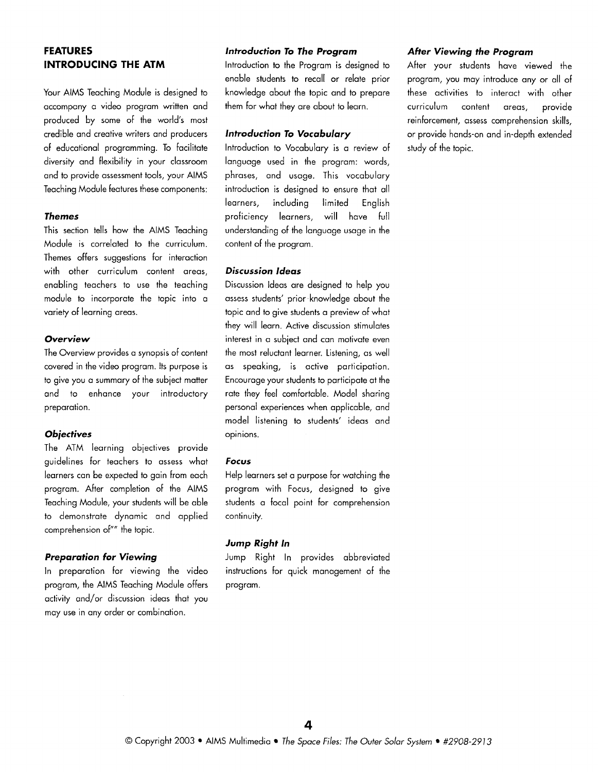## **FEATURES INTRODUCING THE ATM**

Your AIMS Teaching Module is designed to accompany a video program written and produced by some of the world's most credible and creative writers and producers of educational programming. To facilitate diversity and flexibility in your classroom and to provide assessment tools, your AlMS Teaching Module features these components:

#### **Themes**

This section tells how the AlMS Teaching Module is correlated to the curriculum. Themes offers suggestions for interaction with other curriculum content areas, enabling teachers to use the teaching module to incorporate the topic into a variety of learning areas.

#### **Overview**

The Overview provides a synopsis of content covered in the video program. Its purpose is to give you a summary of the subiect matter and to enhance your introductory preparation.

#### **Objectives**

The ATM learning objectives provide guidelines for teachers to assess what learners can be expected to gain from each program. After completion of the AlMS Teaching Module, your students will be able to demonstrate dynamic and applied comprehension of"" the topic.

#### **Preparation for Viewing**

In preparation for viewing the video program, the AlMS Teaching Module offers activity and/or discussion ideas that you may use in any order or combination.

#### **lntroduction To The Program**

lntroduction to the Program is designed to enable students to recall or relate prior knowledge about the topic and to prepare them for what they are about to learn.

#### **lntroduction To Vocabulary**

lntroduction to Vocabulary is a review of language used in the program: words, phrases, and usage. This vocabulary introduction is designed to ensure that all learners, including limited English proficiency learners, will have full understanding of the language usage in the content of the program.

#### **Discussion Ideas**

Discussion Ideas are designed to help you assess students' prior knowledge about the topic and to give students a preview of what they will learn. Active discussion stimulates interest in a subject and can motivate even the most reluctant learner. Listening, as well as speaking, is active participation. Encourage your students to participate at the rate they feel comfortable. Model sharing personal experiences when applicable, and model listening to students' ideas and opinions.

#### **Focus**

Help learners set a purpose for watching the program with Focus, designed to give students a focal point for comprehension continuity.

#### **Jump Right In**

Jump Right In provides abbreviated instructions for quick management of the program.

#### **After Viewing the Program**

After your students have viewed the program, you may introduce any or all of these activities to interact with other curriculum content areas, provide reinforcement, assess comprehension skills, or provide hands-on and in-depth extended study of the topic.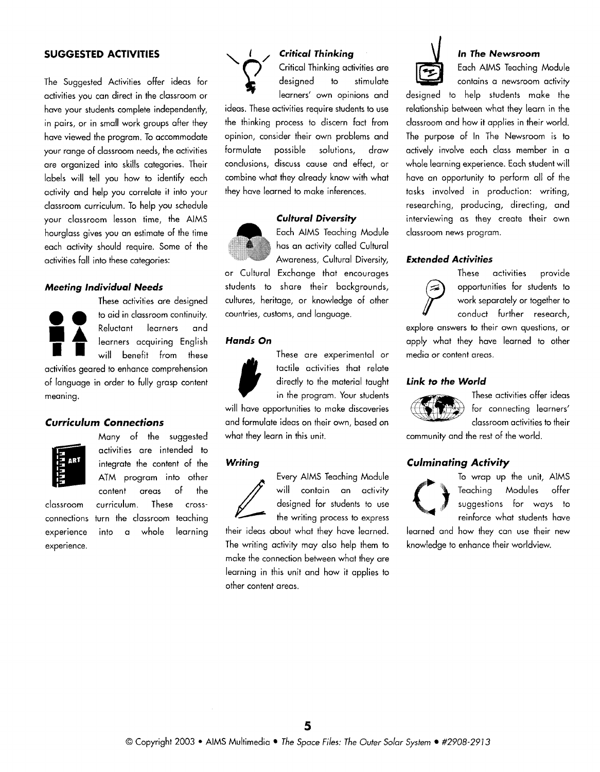### **SUGGESTED ACTIVITIES**

The Suggested Activities offer ideas for activities you can direct in the classroom or have your students complete independently, in pairs, or in small work groups after they have viewed the program. To accommodate your range of classroom needs, the activities are organized into skills categories. Their labels will tell you how to identify each activity and help you correlate it into your classroom curriculum. To help you schedule your classroom lesson time, the AlMS hourglass gives you an estimate of the time each activity should require. Some of the activities fall into these categories:

#### **Meeting lndividual Needs**

These activities are designed to aid in classroom continuity Reluctant learners and<br>**dearners acquiring English**<br>will benefit from these benefit from these activities geared to enhance comprehension of language in order to fully grasp content meaning.

#### **Curriculum Connections**



experience.

Many of the suggested activities are intended to integrate the content of the ATM program into other<br>content areas of the content classroom curriculum. These crossconnections turn the classroom teaching experience into a whole learning



## **Critical Thinking**

Critical Thinking activities are designed to stimulate learners' own opinions and

ideas. These activities require students to use the thinking process to discern fact from opinion, consider their own problems and formulate possible solutions, draw conclusions, discuss cause and effect, or combine what they already know with what they have learned to make inferences.

### **Cultural Diversity**



Each AlMS Teaching Module has an activity called Cultural Awareness, Cultural Diversity,

or Cultural Exchange that encourages students to share their backgrounds, cultures, heritage, or knowledge of other countries, customs, and language.

#### **Hands On**



These are experimental or<br>tactile activities that relate<br>directly to the material taught<br>in the program. Your students tactile activities that relate directly to the material taught in the program. Your students

will have opportunities to make discoveries and formulate ideas on their own, based on what they learn in this unit.

#### **Writing**



Every AIMS Teaching Module<br>
will contain an activity<br>
designed for students to use<br>
the writing process to express will contain an activity designed for students to use

their ideas about what they have learned. The writing activity may also help them to make the connection between what they are learning in this unit and how it applies to other content areas.



#### **In The Newsroom**

Each AlMS Teaching Module contains a newsroom activity

designed to help students make the relationship between what they learn in the classroom and how it applies in their world. The purpose of In The Newsroom is to actively involve each class member in a whole learning experience. Each student will have an opportunity to perform all of the tasks involved in production: writing, researching, producing, directing, and interviewing as they create their own classroom news program.

#### **Extended Activities**



These activities provide Supportunities for students to<br>work separately or together to<br>conduct further research, work separately or together to conduct further research,

explore answers to their own questions, or apply what they have learned to other media or content areas.

#### **Link to the World**



These activities offer ideas for connecting learners' classroom activities to their

community and the rest of the world.

#### **Culminating Activity**



To wrap up the unit, AlMS Teaching Modules offer suggestions for ways to reinforce what students have

learned and how they can use their new knowledge to enhance their worldview.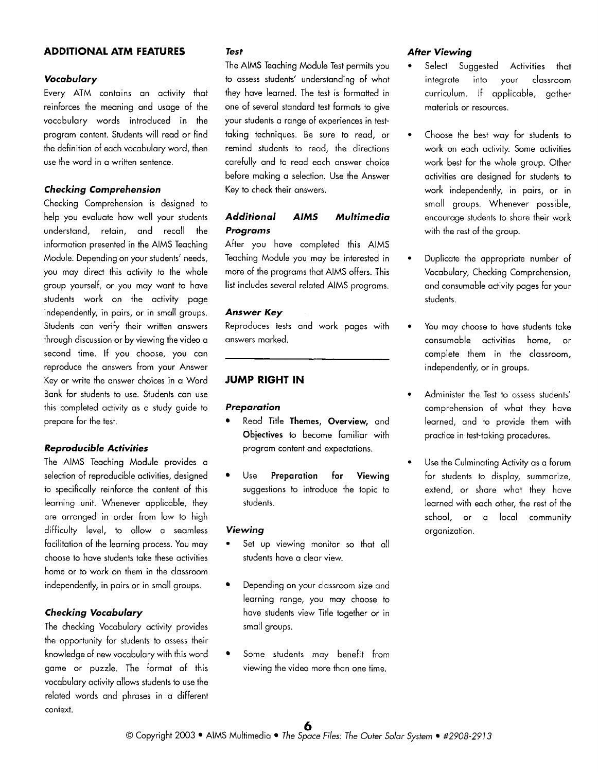#### **ADDITIONAL ATM FEATURES**

#### **Vocabulary**

Every ATM contains an activity that reinforces the meaning and usage of the vocabulary words introduced in the program content. Students will read or find the definition of each vocabulary word, then use the word in a written sentence.

#### **Checking Comprehension**

Checking Comprehension is designed to help you evaluate how well your students understand, retain, and recall the information presented in the AlMS Teaching Module. Depending on your students' needs, you may direct this activity to the whole group yourself, or you may want to have students work on the activity page independently, in pairs, or in small groups. Students can verify their written answers through discussion or by viewing the video a second time. If you choose, you can reproduce the answers from your Answer Key or write the answer choices in a Word Bank for students to use. Students can use this completed activity as a study guide to prepare for the test.

#### **Reproducible Activities**

The AlMS Teaching Module provides a selection of reproducible activities, designed to specifically reinforce the content of this learning unit. Whenever applicable, they are arranged in order from low to high difficulty level, to allow a seamless facilitation of the learning process. You may choose to have students take these activities home or to work on them in the classroom independently, in pairs or in small groups.

#### **Checking Vocabulary**

The checking Vocabulary activity provides the opportunity for students to assess their knowledge of new vocabulary with this word game or puzzle. The format of this vocabulary activity allows students to use the related words and phrases in a different context.

#### **Test**

The AlMS Teaching Module Test permits you to assess students' understanding of what they have learned. The test is formatted in one of several standard test formats to give your students a range of experiences in testtaking techniques. Be sure to read, or remind students to read, the directions carefully and to read each answer choice before making a selection. Use the Answer Key to check their answers.

## **Additional AlMS Multimedia Programs**

After you have completed this AlMS Teaching Module you may be interested in more of the programs that AlMS offers. This list includes several related AlMS programs.

#### **Answer Key**

Reproduces tests and work pages with answers marked.

## **JUMP RIGHT IN**

#### **Preparation**

- Read Title **Themes, Overview,** and **Objectives** to become familiar with program content and expectations.
- Use **Preparation for Viewing**  suggestions to introduce the topic to students.

#### **Viewing**

- Set up viewing monitor so that all students have a clear view.
- Depending on your classroom size and learning range, you may choose to have students view Title together or in small groups.
- Some students may benefit from viewing the video more than one time.

#### **After Viewing**

- Select Suggested Activities that integrate into your classroom curriculum. If applicable, gather materials or resources.
- Choose the best way for students to work on each activity. Some activities work best for the whole group. Other activities are designed for students to work independently, in pairs, or in small groups. Whenever possible, encourage students to share their work with the rest of the group.
- Duplicate the appropriate number of Vocabulary, Checking comprehension, and consumable activity pages for your students.
- You may choose to have students take consumable activities home, or complete them in the classroom, independently, or in groups.
- Administer the Test to assess students' comprehension of what they have learned, and to provide them with practice in test-taking procedures.
- Use the Culminating Activity as a forum for students to display, summarize, extend, or share what they have learned with each other, the rest of the school, or a local community organization.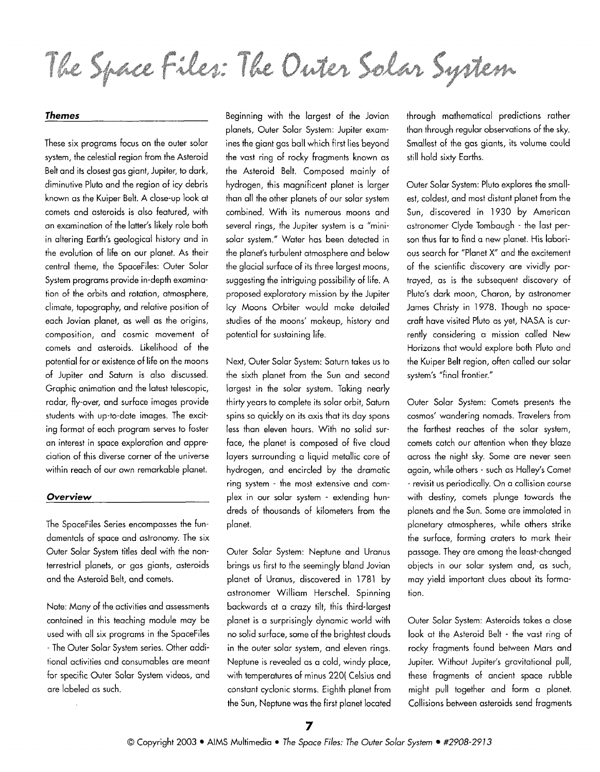The Space Files: The Onter Solar System

#### **Themes**

These six programs focus on the outer solar system, the celestial region from the Asteroid Belt and its closest gas giant, Jupiter, to dark, diminutive Pluto and the region of icy debris known as the Kuiper Belt. A close-up look at comets and asteroids is also featured, with an examination of the latter's likely role both in altering Earth's geological history and in the evolution of life on our planet. As their central theme, the SpaceFiles: Outer Solar System programs provide in-depth examination of the orbits and rotation, atmosphere, climate, topography, and relative position of each Jovian planet, as well as the origins, composition, and cosmic movement of comets and asteroids. Likelihood of the potential for or existence of life on the moons of Jupiter and Saturn is also discussed. Graphic animation and the latest telescopic, radar, fly-over, and surface images provide students with up-to-date images. The exciting format of each program serves to foster an interest in space exploration and appreciation of this diverse corner of the universe within reach of our own remarkable planet.

#### **Overview**

The SpaceFiles Series encompasses the fundamentals of space and astronomy. The six Outer Solar System titles deal with the nonterrestrial planets, or gas giants, asteroids and the Asteroid Belt, and comets.

Note: Many of the activities and assessments contained in this teaching module may be used with all six programs in the SpaceFiles - The Outer Solar System series. Other additional activities and consumables are meant for specific Outer Solar System videos, and are labeled as such.

Beginning with the largest of the Jovian planets, Outer Solar System: Jupiter examines the giant gas ball which first lies beyond the vast ring of rocky fragments known as the Asteroid Belt. Composed mainly of hydrogen, this magnificent planet is larger than all the other planets of our solar system combined. With its numerous moons and several rings, the Jupiter system is a "minisolar system." Water has been detected in the planet's turbulent atmosphere and below the glacial surface of its three largest moons, suggesting the intriguing possibility of life. A proposed exploratory mission by the Jupiter Icy Moons Orbiter would make detailed studies of the moons' makeup, history and potential for sustaining life.

Next, Outer Solar System: Saturn takes us to the sixth planet from the Sun and second largest in the solar system. Taking nearly thirty years to complete its solar orbit, Saturn spins so quickly on its axis that its day spans less than eleven hours. With no solid surface, the planet is composed of five cloud layers surrounding a liquid metallic core of hydrogen, and encircled by the dramatic ring system - the most extensive and complex in our solar system - extending hundreds of thousands of kilometers from the planet.

Outer Solar System: Neptune and Uranus brings us first to the seemingly bland Jovian planet of Uranus, discovered in 1781 by astronomer William Herschel. Spinning backwards at a crazy tilt, this third-largest planet is a surprisingly dynamic world with no solid surface, some of the brightest clouds in the outer solar system, and eleven rings. Neptune is revealed as a cold, windy place, with temperatures of minus 220( Celsius and constant cyclonic storms. Eighth planet from the Sun, Neptune was the first planet located through mathematical predictions rather than through regular observations of the sky. Smallest of the gas giants, its volume could still hold sixty Earths.

Outer Solar System: Pluto explores the smallest, coldest, and most distant planet from the Sun, discovered in 1930 by American astronomer Clyde Tombaugh - the last person thus far to find a new planet. His laborious search for "Planet X" and the excitement of the scientific discovery are vividly portrayed, as is the subsequent discovery of Pluto's dark moon, Charon, by astronomer James Christy in 1978. Though no spacecraft have visited Pluto as yet, NASA is currently considering a mission called New Horizons that would explore both Pluto and the Kuiper Belt region, often called our solar system's "final frontier."

Outer Solar System: Comets presents the cosmos' wandering nomads. Travelers from the farthest reaches of the solar system, comets catch our attention when they blaze across the night sky. Some are never seen again, while others - such as Halley's Comet - revisit us periodically. On a collision course with destiny, comets plunge towards the planets and the Sun. Some are immolated in planetary atmospheres, while others strike the surface, forming craters to mark their passage. They are among the least-changed objects in our solar system and, as such, may yield important clues about its formation.

Outer Solar System: Asteroids takes a close look at the Asteroid Belt - the vast ring of rocky fragments found between Mars and Jupiter. Without Jupiter's gravitational pull, these fragments of ancient space rubble might pull together and form a planet. Collisions between asteroids send fragments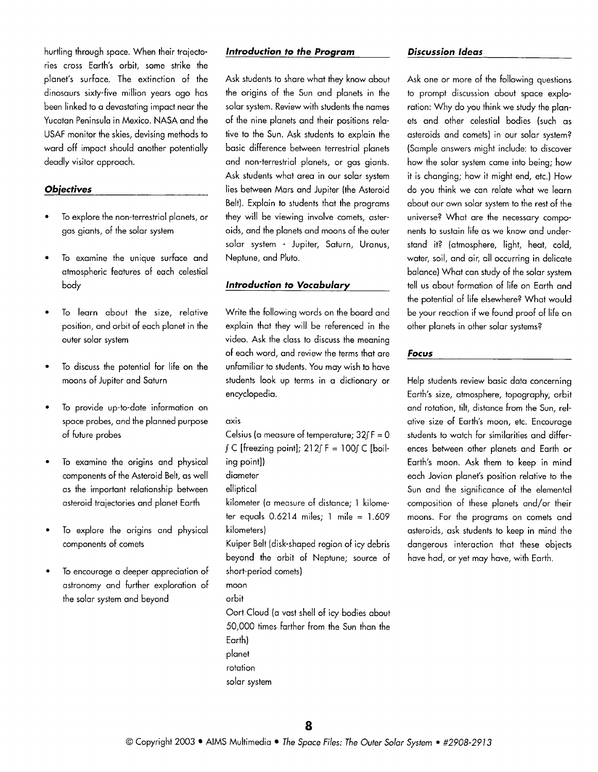hurtling through space. When their traiectories cross Earth's orbit, some strike the planet's surface. The extinction of the dinosaurs sixty-five million years ago has been linked to a devastating impact near the Yucatan Peninsula in Mexico. NASA and the USAF monitor the skies, devising methods to ward off impact should another potentially deadly visitor approach.

#### **Objectives**

- To explore the non-terrestrial planets, or gas giants, of the solar system
- TO examine the unique surface and atmospheric features of each celestial body
- To learn about the size, relative position, and orbit of each planet in the outer solar system
- To discuss the potential for life on the moons of Jupiter and Saturn
- To provide up-to-date information on space probes, and the planned purpose of future probes
- To examine the origins and physical components of the Asteroid Belt, as well as the important relationship between asteroid trajectories and planet Earth
- To explore the origins and physical components of comets
- To encourage a deeper appreciation of astronomy and further exploration of the solar system and beyond

#### **lntroduction to the Program**

Ask students to share what they know about the origins of the Sun and planets in the solar system. Review with students the names of the nine planets and their positions relative to the Sun. Ask students to explain the basic difference between terrestrial planets and non-terrestrial planets, or gas giants. Ask students what area in our solar system lies between Mars and Jupiter (the Asteroid Belt). Explain to students that the programs they will be viewing involve comets, asteroids, and the planets and moons of the outer solar system - Jupiter, Saturn, Uranus, Neptune, and Pluto.

#### **lntroduction to Vocabulary**

Write the following words on the board and explain that they will be referenced in the video. Ask the class to discuss the meaning of each word, and review the terms that are unfamiliar to students. You may wish to have students look up terms in a dictionary or encyclopedia.

#### axis

Celsius (a measure of temperature;  $32fF = 0$  $\int C$  [freezing point];  $212 \int F = 100 \int C$  [boiling point]) diameter elliptical kilometer (a measure of distance; 1 kilome-

ter equals  $0.6214$  miles; 1 mile =  $1.609$ kilometers) Kuiper Belt (disk-shaped region of icy debris

beyond the orbit of Neptune; source of short-period comets)

moon

orbit

Oort Cloud (a vast shell of icy bodies about 50,000 times farther from the Sun than the Earth) planet rotation solar system

#### **Discussion Ideas**

Ask one or more of the following questions to prompt discussion about space exploration: Why do you think we study the planets and other celestial bodies (such as asteroids and comets) in our solar system? (Sample answers might include: to discover how the solar system came into being; how it is changing; how it might end, etc.) How do you think we can relate what we learn about our own solar system to the rest of the universe? What are the necessary components to sustain life as we know and understand it? (atmosphere, light, heat, cold, water, soil, and air, all occurring in delicate balance) What can study of the solar system tell us about formation of life on Earth and the potential of life elsewhere? What would be your reaction if we found proof of life on other planets in other solar systems?

#### **Focus**

Help students review basic data concerning Earth's size, atmosphere, topography, orbit and rotation, tilt, distance from the Sun, relative size of Earth's moon, etc. Encourage students to watch for similarities and differences between other planets and Earth or Earth's moon. Ask them to keep in mind each Jovian planet's position relative to the Sun and the significance of the elemental composition of these planets and/or their moons. For the programs on comets and asteroids, ask students to keep in mind the dangerous interaction that these objects have had, or yet may have, with Earth.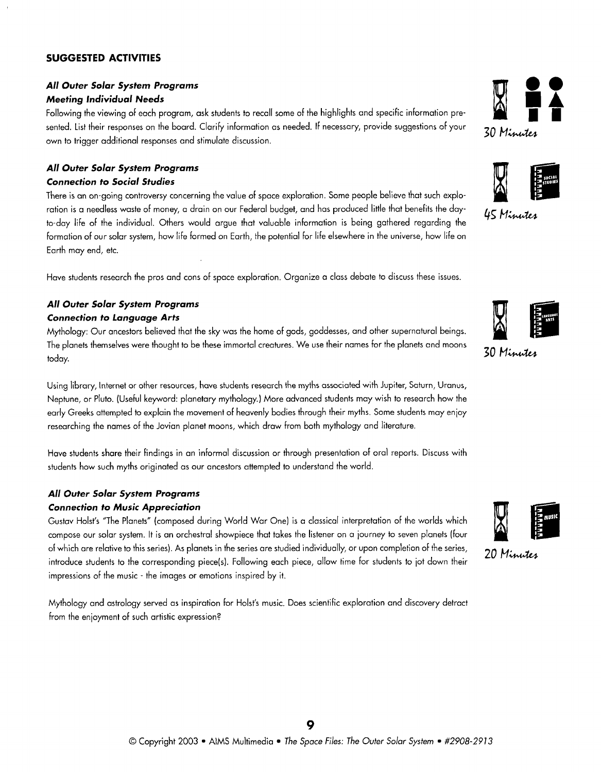## **SUGGESTED ACTIVITIES**

## **All Outer Solar System Programs Meeting Individual Needs**

Following the viewing of each program, ask students to recall some of the highlights and specific information presented. List their responses on the board. Clarify information as needed. If necessary, provide suggestions of your own to trigger additional responses and stimulate discussion.

## **All Outer Solar System Programs Connection to Social Studies**

There is an on-going controversy concerning the value of space exploration. Some people believe that such exploration is a needless waste of money, a drain on our Federal budget, and has produced little that benefits the dayto-day life of the individual. Others would argue that valuable information is being gathered regarding the formation of our solar system, how life formed on Earth, the potential for life elsewhere in the universe, how life on Earth may end, etc.

Have students research the pros and cons of space exploration. Organize a class debate to discuss these issues.

### **All Outer Solar System Programs Connection to Language Arts**

Mythology: Our ancestors believed that the sky was the home of gods, goddesses, and other supernatural beings. The planets themselves were thought to be these immortal creatures. We use their names for the planets and moons today.

Using library, Internet or other resources, have students research the myths associated with Jupiter, Saturn, Uranus, Neptune, or Pluto. (Useful keyword: planetary mythology.) More advanced students may wish to research how the early Greeks attempted to explain the movement of heavenly bodies through their myths. Some students may enjoy researching the names of the Jovian planet moons, which draw from both mythology and literature.

Have students share their findings in an informal discussion or through presentation of oral reports. Discuss with students how such myths originated as our ancestors attempted to understand the world.

## **All Outer Solar System Programs Connection to Music Appreciation**

Gustav Holst's "The Planets" (composed during World War One) is a classical interpretation of the worlds which compose our solar system. It is an orchestral showpiece that takes the listener on a iourney to seven planets (four of which are relative to this series). As planets in the series are studied individually, or upon completion of the series, introduce students to the corresponding piece(s). Following each piece, allow time for students to jot down their impressions of the music - the images or emotions inspired by it.

Mythology and astrology served as inspiration for Holst's music. Does scientific exploration and discovery detract from the enjoyment of such artistic expression?





45 Minutes





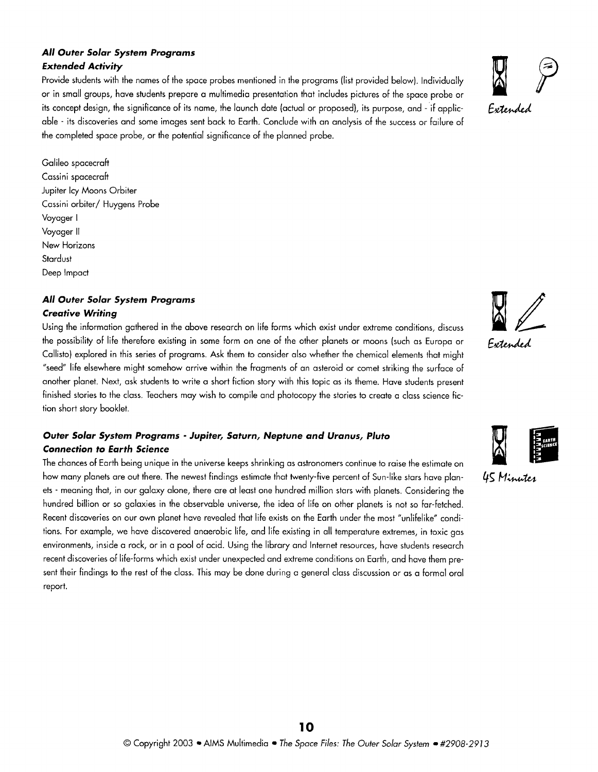## **All Outer Solar System Programs Extended Activity**

Provide students with the names of the space probes mentioned in the programs (list provided below). Individually or in small groups, have students prepare a multimedia presentation that includes pictures of the space probe or able - its discoveries and some images sent back to Earth. Conclude with an analysis of the success or failure of its concept design, the significance of its name, the launch date (actual or proposed), its purpose, and - if applic-  $F_{\alpha}$ the completed space probe, or the potential significance of the planned probe.

Galileo spacecraft Cassini spacecraft Jupiter Icy Moons Orbiter Cassini orbiter/ Huygens Probe Voyager I Voyager II New Horizons **Stardust** Deep Impact

## **All Outer Solar System Programs Creative Writing**

Using the information gathered in the above research on life forms which exist under extreme conditions, discuss the possibility of life therefore existing in some form on one of the other planets or moons (such as Europa or Fetended Callisto) explored in this series of programs. Ask them to consider also whether the chemical elements that might "seed" life elsewhere might somehow arrive within the fragments of an asteroid or comet striking the surface of another planet. Next, ask students to write a short fiction story with this topic as its theme. Have students present finished stories to the class. Teachers may wish to compile and photocopy the stories to create a class science fiction short story booklet.

## **Outer Solar System Programs** - **Jupiter, Saturn, Neptune and Uranus, Pluto Connection to Earth Science**

The chances of Earth being unique in the universe keeps shrinking as astronomers continue to raise the estimate o how many planets are out there. The newest findings estimate that twenty-five percent of Sun-like stars have planets - meaning that, in our galaxy alone, there are at least one hundred million stars with planets. Considering the hundred billion or so galaxies in the observable universe, the idea of life on other planets is not so far-fetched. Recent discoveries on our own planet have revealed that life exists on the Earth under the most "unlifelike" conditions. For example, we have discovered anaerobic life, and life existing in all temperature extremes, in toxic gas environments, inside a rock, or in a pool of acid. Using the library and Internet resources, have students research recent discoveries of life-forms which exist under unexpected and extreme conditions on Earth, and have them present their findings to the rest of the class. This may be done during a general class discussion or as a formal oral report.







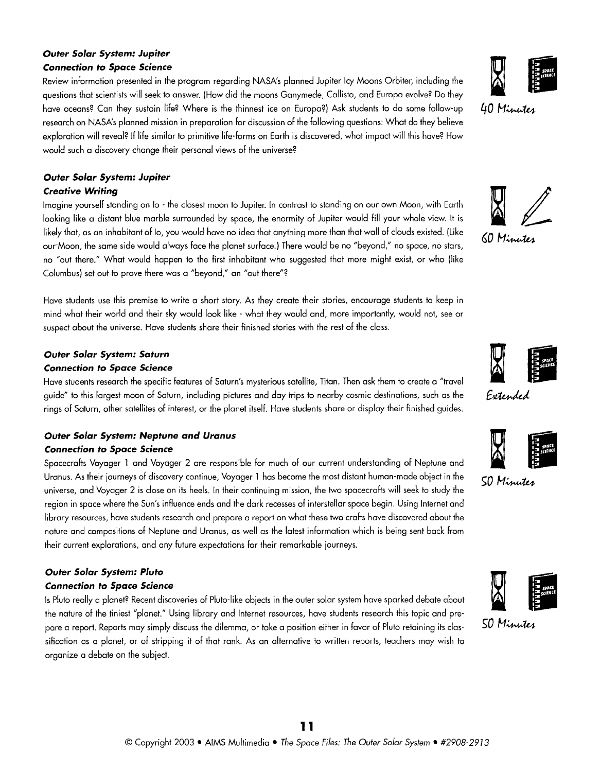## **Outer Solar System: Jupiter Connection to Space Science**

Review information presented in the program regarding NASA's planned Jupiter Icy Moons Orbiter, including the questions that scientists will seek to answer. (How did the moons Ganymede, Callisto, and Europa evolve?) have oceans? Can they sustain lite? Where is the thinnest ice on Europa?) Ask students to do some tollow-up research on NASA's planned mission in preparation for discussion of the following questions: What do they believe exploration will reveal? If life similar to primitive life-forms on Earth is discovered, what impact will this have? How would such a discovery change their personal views of the universe?

## **Outer Solar System: Jupiter**

## **Creative Writing**

Imagine yourself standing on lo - the closest moon to Jupiter. In contrast to standing on our own Moon, with Earth looking like a distant blue marble surrounded by space, the enormity of Jupiter would fill your whole view. It is likely that, as an inhabitant of lo, you would have no idea that anything more than that wall of clouds existed. (Like our,Moon, the same side would always face the planet surface.) There would be no "beyond," no space, no stars, no "out there." What would happen to the first inhabitant who suggested that more might exist, or who (like Columbus) set out to prove there was a "beyond," an "out there"?

Have students use this premise to write a short story. As they create their stories, encourage students to keep in mind what their world and their sky would look like - what they would and, more importantly, would not, see or suspect about the universe. Have students share their finished stories with the rest of the class.

## **Outer Solar System: Saturn**

## **Connection to Space Science**

Have students research the specific teatures of Saturn's mysterious satellite, Titan. Then ask them to create a "travel guide" to this largest moon of Saturn, including pictures and day trips to nearby cosmic destinations, rings of Saturn, other satellites of interest, or the planet itself. Have students share or display their finished guides.

## **Outer Solar System: Neptune and Uranus Connection to Space Science**

Spacecratts Voyager 1 and Voyager 2 are responsible tor much ot our current understanding ot Neptune and Uranus. As their journeys of discovery continue, Voyager 1 has become the most distant human-made object in the universe, and Voyager 2 is close on its heels. In their continuing mission, the two spacecrafts will seek to study the region in space where the Sun's influence ends and the dark recesses of interstellar space begin. Using Internet and library resources, have students research and prepare a report on what these two crafts have discovered about the nature and compositions of Neptune and Uranus, as well as the latest information which is being sent back from their current explorations, and any future expectations for their remarkable journeys.

## **Outer Solar System: Pluto**

## **Connection to Space Science**

Is Pluto really a planet? Recent discoveries of Pluto-like objects in the outer solar system have sparked debate about the nature of the tiniest "planet." Using library and Internet resources, have students research this topic and presification as a planet, or of stripping it of that rank. As an alternative to written reports, teachers may wish to pare a report. Reports may simply discuss the dilemma, or take a position either in favor of Pluto retaining its clas- **50 Minutes** organize a debate on the subject.













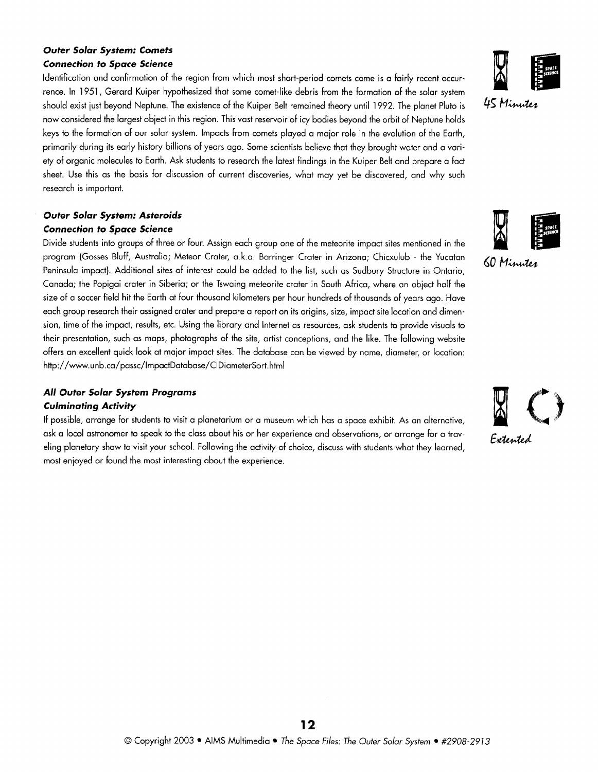## **Outer Solar System: Comets Connection to Space Science**

Identification and confirmation of the region from which most short-period comets come is a fairly recent occurrence. In 1951, Gerard Kuiper hypothesized that some comet-like debris from the formation of the solar system now considered the largest obiect in this region. This vast reservoir of icy bodies beyond the orbit of Neptune holds should exist just beyond Neptune. The existence of the Kuiper Belt remained theory until 1992. The planet Pluto is 45 Minutes keys to the formotion of our solar system. Impacts from comets played a major role in the evolution of the Earth, primarily during its early history billions of years ago. Some scientists believe that they brought water and a variety of organic molecules to Earth. Ask students to research the latest findings in the Kuiper Belt and prepare a fact sheet. Use this as the basis for discussion of current discoveries, what may yet be discovered, and why such research is important.

### **Outer Solar System: Asteroids Connection to Space Science**

Divide students into groups of three or four. Assign each group one of the meteorite impact sites mentioned in the program (Gosses Bluff, Australia; Meteor Crater, a.k.a. Barringer Crater in Arizona; Chicxulub - the Yucatan Peninsula impact). Additional sites of interest could be added to the list, such as Sudbury Structure in Ontario, Canada; the Popigai crater in Siberia; or the Tswaing meteorite crater in South Africa, where an obiect half the size of a soccer field hit the Earth at four thousand kilometers per hour hundreds of thousands of years ago. Have each group research their assigned crater and prepare a report on its origins, size, impact site location and dimension, time of the impact, results, etc. Using the library and Internet as resources, ask students to provide visuals to their presentation, such as maps, photographs of the site, artist conceptions, and the like. The following website offers an excellent quick look at major impact sites. The database can be viewed by name, diameter, or location: http://www.unb.ca/passc/lmpactDatabase/CIDiameterSort.html

## **All Outer Solar System Programs**

### **Culminating Activity**

If possible, arrange for students to visit a planetarium or a museum which has a space exhibit. As an alternative, ask a local astronomer to speak to the class about his or her experience and observations, or arrange for a traveling planetary show to visit your school. Following the activity of choice, discuss with students what they learned, most enjoyed or found the most interesting about the experience.





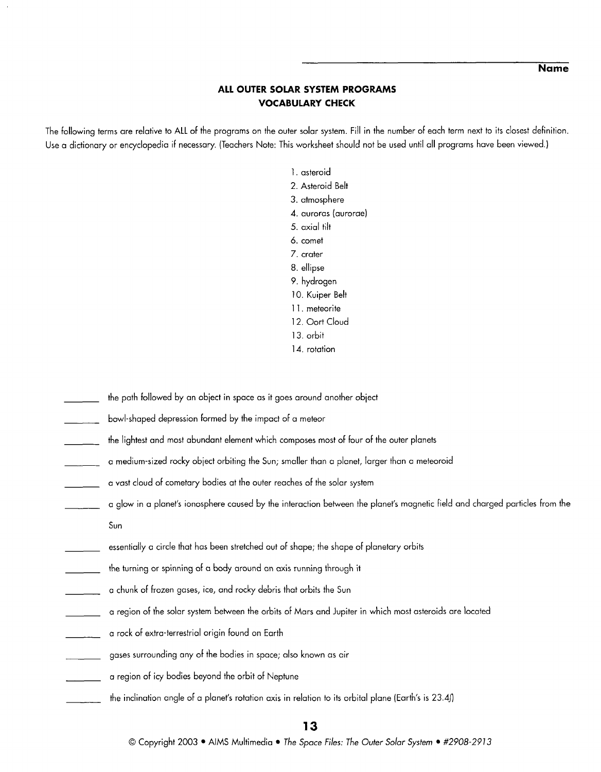**Name** 

## **ALL OUTER SOLAR SYSTEM PROGRAMS VOCABULARY CHECK**

The following terms are relative to ALL of the programs on the outer solar system. Fill in the number of each term next to its closest definition. Use a dictionary or encyclopedia if necessary. (Teachers Note: This worksheet should not be used until all programs have been viewed.)

- I. asteroid 2. Asteroid Belt 3. atmosphere 4. auroras (aurorae) 5. axial tilt 6. comet 7. crater 8. ellipse 9. hydrogen 10. Kuiper Belt 11. meteorite 12. Oort Cloud 13. orbit 14. rotation
- the path followed by an obiect in space as it goes around another obiect
- bowl-shaped depression formed by the impact of a meteor
- the lightest and most abundant element which composes most of four of the outer planets
- a medium-sized rocky obiect orbiting the Sun; smaller than a planet, larger than a meteoroid
- a vast cloud of cometary bodies at the outer reaches of the solar system
- a glow in a planet's ionosphere caused by the interaction between the planet's magnetic field and charged particles from the Sun
- essentially a circle that has been stretched out of shape; the shape of planetary orbits
- the turning or spinning of a body around an axis running through it
- o chunk of frozen gases, ice, and rocky debris that orbits the Sun
- o region of the solar system between the orbits of Mars and Jupiter in which most asteroids are located
- o rock of extra-terrestrial origin found on Earth
- gases surrounding any of the bodies in space; also known as air
- a region of icy bodies beyond the orbit of Neptune
- the inclination angle of a planet's rotation axis in relation to its orbital plane (Earth's is **23.4fl**

### **13**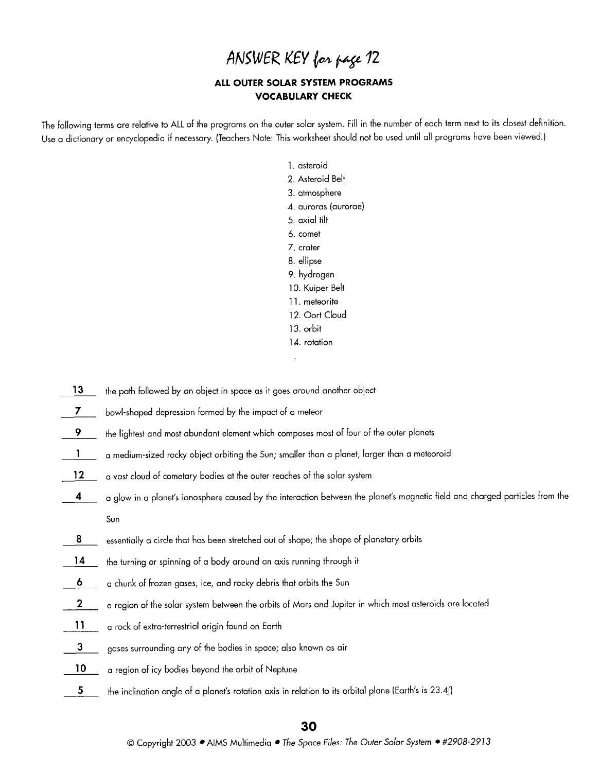## ANSWER KEY for page 12

## **ALL OUTER SOLAR SYSTEM PROGRAMS VOCABULARY CHECK**

The following terms are relative to ALL of the programs on the outer solar system. Fill in the number of each term next to its closest definition. Use a dictionary or encyclopedia if necessary. (Teachers Note: This worksheet should not be used until all programs have been viewed.)

> I. asteroid 2. Asteroid Belt 3. atmosphere 4. auroras (aurorae) 5. axial tilt 6. comet 7. crater 8. ellipse 9. hydrogen 10. Kuiper Belt 11. meteorite 12. Oort Cloud 13. orbit 14. rotation ÷.

 $\overline{a}$ 

| 13              | the path followed by an object in space as it goes around another object                                                     |
|-----------------|------------------------------------------------------------------------------------------------------------------------------|
| $\mathbf{7}$    | bowl-shaped depression formed by the impact of a meteor                                                                      |
| 9               | the lightest and most abundant element which composes most of four of the outer planets                                      |
|                 | a medium-sized rocky object orbiting the Sun; smaller than a planet, larger than a meteoroid                                 |
| 12 <sub>2</sub> | a vast cloud of cometary bodies at the outer reaches of the solar system                                                     |
| 4               | a glow in a planet's ionosphere caused by the interaction between the planet's magnetic field and charged particles from the |
|                 | Sun                                                                                                                          |
| 8               | essentially a circle that has been stretched out of shape; the shape of planetary orbits                                     |
| 14              | the turning or spinning of a body around an axis running through it                                                          |
| 6               | a chunk of frozen gases, ice, and rocky debris that orbits the Sun                                                           |
| $\mathbf{2}$    | a region of the solar system between the orbits of Mars and Jupiter in which most asteroids are located                      |
| $\mathbf{1}$    | a rock of extra-terrestrial origin found on Earth                                                                            |
| 3               | gases surrounding any of the bodies in space; also known as air                                                              |
| 10              | a region of icy bodies beyond the orbit of Neptune                                                                           |
| 5               | the inclination angle of a planet's rotation axis in relation to its orbital plane (Earth's is 23.4))                        |
|                 |                                                                                                                              |

### 30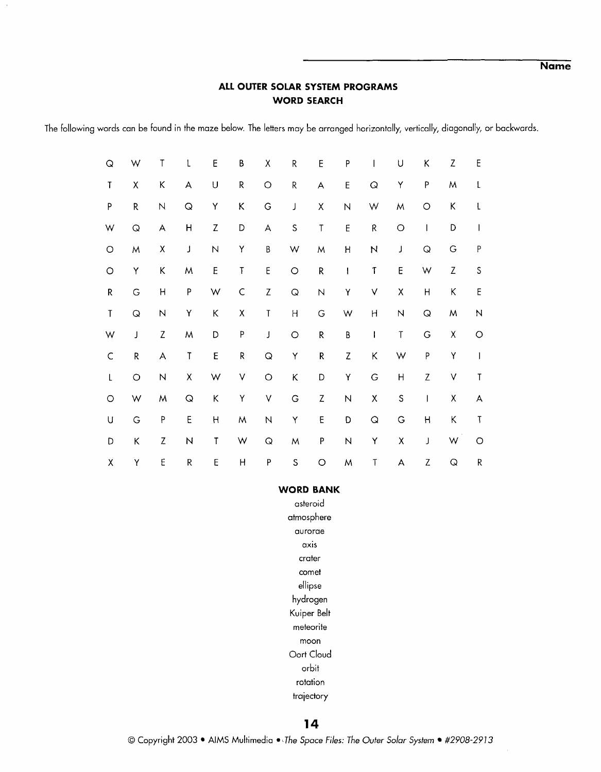**Name** 

## **ALL OUTER SOLAR SYSTEM PROGRAMS WORD SEARCH**

The following words can be found in the maze below. The letters may be arranged horizontally, vertically, diagonally, or backwards.

| $\hbox{\large \bf Q}$ | W                          | $\mathsf T$               | L                     | E                         | B                  | Χ                          | ${\sf R}$             | E                         | $\sf P$                   | $\overline{\phantom{a}}$   | U                       | K                                                                                                                                                                                                                                                                                                                                                                                                              | Z                         | E                              |  |
|-----------------------|----------------------------|---------------------------|-----------------------|---------------------------|--------------------|----------------------------|-----------------------|---------------------------|---------------------------|----------------------------|-------------------------|----------------------------------------------------------------------------------------------------------------------------------------------------------------------------------------------------------------------------------------------------------------------------------------------------------------------------------------------------------------------------------------------------------------|---------------------------|--------------------------------|--|
| T                     | Χ                          | K                         | A                     | $\sf U$                   | R                  | $\bigcirc$                 | ${\sf R}$             | A                         | $\sf E$                   | $\hbox{\large \it \Omega}$ | Y                       | P                                                                                                                                                                                                                                                                                                                                                                                                              | M                         | $\mathsf{L}$                   |  |
| P                     | ${\sf R}$                  | ${\sf N}$                 | $\hbox{\large \bf Q}$ | Υ                         | Κ                  | G                          | J                     | Χ                         | $\hbox{N}$                | W                          | M                       | $\circ$                                                                                                                                                                                                                                                                                                                                                                                                        | Κ                         | L                              |  |
| W                     | $\hbox{\large \it \Omega}$ | A                         | H                     | $\ensuremath{\mathsf{Z}}$ | D                  | A                          | $\mathsf S$           | $\sf T$                   | $\mathsf E$               | ${\sf R}$                  | $\bigcirc$              | $\begin{array}{c} \rule{0pt}{2ex} \rule{0pt}{2ex} \rule{0pt}{2ex} \rule{0pt}{2ex} \rule{0pt}{2ex} \rule{0pt}{2ex} \rule{0pt}{2ex} \rule{0pt}{2ex} \rule{0pt}{2ex} \rule{0pt}{2ex} \rule{0pt}{2ex} \rule{0pt}{2ex} \rule{0pt}{2ex} \rule{0pt}{2ex} \rule{0pt}{2ex} \rule{0pt}{2ex} \rule{0pt}{2ex} \rule{0pt}{2ex} \rule{0pt}{2ex} \rule{0pt}{2ex} \rule{0pt}{2ex} \rule{0pt}{2ex} \rule{0pt}{2ex} \rule{0pt}{$ | D                         | $\mathbf{I}$                   |  |
| $\bigcirc$            | W                          | Χ                         | J                     | $\overline{N}$            | Y                  | $\sf B$                    | W                     | M                         | $\sf H$                   | $\boldsymbol{\mathsf{N}}$  | $\mathsf J$             | $\hbox{\large \it Q}$                                                                                                                                                                                                                                                                                                                                                                                          | G                         | ${\sf P}$                      |  |
| $\circ$               | Υ                          | К                         | M                     | $\mathsf E$               | T                  | $\sf E$                    | $\circ$               | ${\sf R}$                 | $\mathbf{I}$              | $\mathsf T$                | E                       | W                                                                                                                                                                                                                                                                                                                                                                                                              | $\ensuremath{\mathsf{Z}}$ | $\mathsf S$                    |  |
| R                     | ${\mathsf G}$              | $\mathsf{H}$              | ${\sf P}$             | W                         | $\mathsf C$        | $\ensuremath{\mathsf{Z}}$  | $\hbox{\large \it Q}$ | $\mathsf N$               | Υ                         | V                          | $\pmb{\mathsf{X}}$      | H                                                                                                                                                                                                                                                                                                                                                                                                              | Κ                         | $\mathsf E$                    |  |
| $\mathsf{T}$          | $\hbox{\large \bf Q}$      | $\hbox{N}$                | Υ                     | $\mathsf K$               | $\pmb{\mathsf{X}}$ | $\mathsf T$                | $\sf H$               | G                         | W                         | H                          | $\overline{\mathsf{N}}$ | $\hbox{\large \it Q}$                                                                                                                                                                                                                                                                                                                                                                                          | M                         | $\boldsymbol{\mathsf{N}}$      |  |
| W                     | J                          | Z                         | M                     | D                         | P                  | $\mathbf{J}$               | $\bigcirc$            | R                         | $\sf B$                   | $\mathbf{I}$               | $\sf T$                 | G                                                                                                                                                                                                                                                                                                                                                                                                              | Χ                         | $\circ$                        |  |
| $\mathsf C$           | ${\sf R}$                  | $\boldsymbol{\mathsf{A}}$ | $\sf T$               | E                         | R                  | $\hbox{\large \it Q}$      | Y                     | ${\sf R}$                 | $\ensuremath{\mathsf{Z}}$ | Κ                          | W                       | P                                                                                                                                                                                                                                                                                                                                                                                                              | Υ                         | $\begin{array}{c} \end{array}$ |  |
| L                     | $\circ$                    | $\boldsymbol{\mathsf{N}}$ | Χ                     | W                         | ٧                  | $\bigcirc$                 | Κ                     | D                         | Υ                         | $\mathsf G$                | Н                       | $\ensuremath{\mathsf{Z}}$                                                                                                                                                                                                                                                                                                                                                                                      | $\checkmark$              | $\sf T$                        |  |
| $\bigcirc$            | W                          | M                         | $\hbox{\large \bf Q}$ | $\sf K$                   | Y                  | $\mathsf V$                | $\mathsf G$           | $\ensuremath{\mathsf{Z}}$ | $\overline{N}$            | $\mathsf X$                | $\mathsf S$             | $\overline{\phantom{a}}$                                                                                                                                                                                                                                                                                                                                                                                       | $\pmb{\mathsf{X}}$        | A                              |  |
| U                     | G                          | P                         | E                     | $\boldsymbol{\mathsf{H}}$ | M                  | N                          | Υ                     | E                         | D                         | $\hbox{\large \it \Omega}$ | $\mathsf G$             | $\sf H$                                                                                                                                                                                                                                                                                                                                                                                                        | Κ                         | Т                              |  |
| D                     | Κ                          | Z                         | $\mathsf{N}$          | Τ                         | W                  | $\hbox{\large \it \Omega}$ | ${\sf M}$             | P                         | ${\sf N}$                 | Y                          | $\pmb{\mathsf{X}}$      | J                                                                                                                                                                                                                                                                                                                                                                                                              | W                         | $\bigcirc$                     |  |
| $\pmb{\chi}$          | Υ                          | E                         | ${\sf R}$             | E                         | H                  | P                          | ${\sf S}$             | $\circ$                   | W                         | $\mathsf T$                | A                       | Z                                                                                                                                                                                                                                                                                                                                                                                                              | Q                         | R                              |  |

#### **WORD BANK**

asteroid atmosphere aurorae axis crater comet ellipse hydrogen Kuiper Belt meteorite moon Oort Cloud orbit rotation trajectory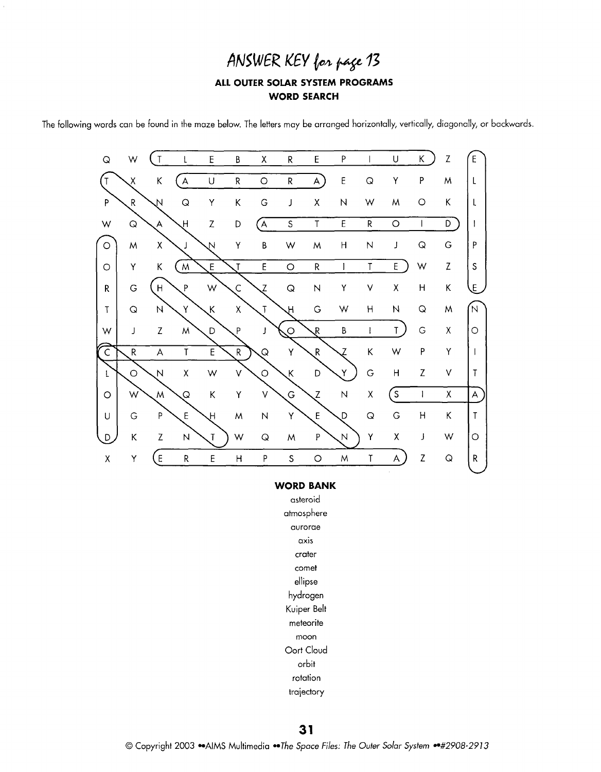## **ANSWER** KEY & **py <sup>73</sup>**

## **ALL OUTER SOLAR SYSTEM PROGRAMS WORD SEARCH**

The following words can be found in the maze below. The letters may be arranged horizontally, vertically, diagonally, or backwards.



#### **WORD BANK**

asteroid atmosphere aurorae axis crater comet ellipse hydrogen Kuiper Belt meteorite moon Oort Cloud orbit rotation trajectory

 $31$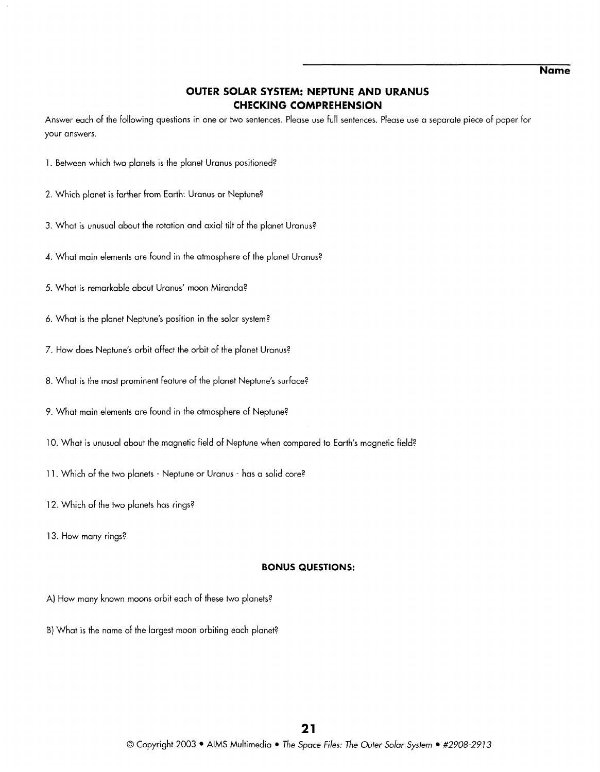## **OUTER SOLAR SYSTEM: NEPTUNE AND URANUS CHECKING COMPREHENSION**

Answer each of the following questions in one or two sentences. Please use full sentences. Please use a separate piece of paper for your answers.

- 1. Between which two planets is the planet Uranus positioned?
- 2. Which planet is farther from Earth: Uranus or Neptune?
- 3. What is unusual about the rotation and axial tilt of the planet Uranus?
- **4.** What main elements are found in the atmosphere of the planet Uranus?
- 5. What is remarkable about Uranus' moon Miranda?
- 6. What is the planet Neptune's position in the solar system?
- 7. How does Neptune's orbit affect the orbit of the planet Uranus?
- 8. What is the most prominent feature of the planet Neptune's surface?
- 9. What main elements are found in the atmosphere of Neptune?
- 10. What is unusual about the magnetic field of Neptune when compared to Earth's magnetic field?
- 11. Which of the two planets Neptune or Uranus has a solid core?
- 12. Which of the two planets has rings?
- 13. How many rings?

#### **BONUS QUESTIONS:**

- A) How many known moons orbit each of these two planets?
- 8) What is the name of the largest moon orbiting each planet?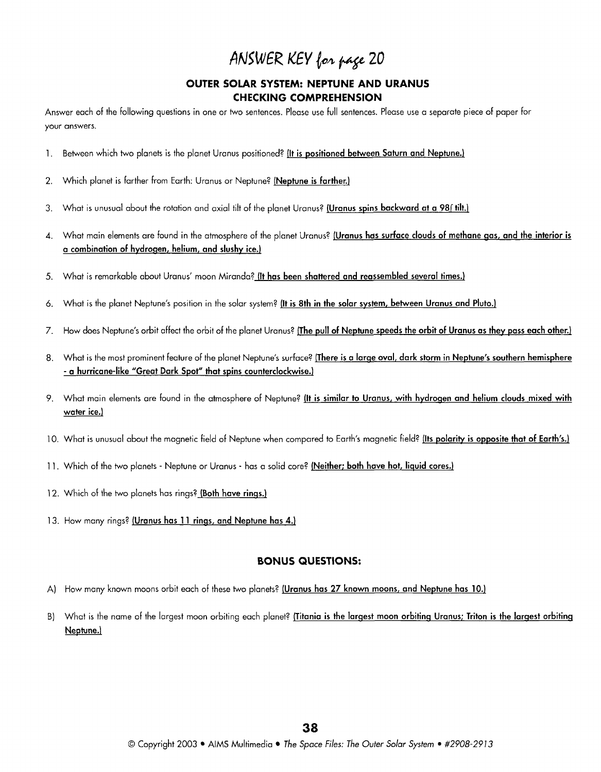# ANSWER KEY for page 20

## **OUTER SOLAR SYSTEM: NEPTUNE AND URANUS CHECKING COMPREHENSION**

Answer each of the following questions in one or two sentences. Please use full sentences. Please use a separate piece of paper for your answers.

- 1. Between which two planets is the planet Uranus positioned? (It is positioned between Saturn and Neptune.)
- 2. Which planet is farther from Earth: Uranus or Neptune? (Neptune is farther.)
- 3. What is unusual about the rotation and axial tilt of the planet Uranus? (Uranus spins backward at a 98f tilt.)
- **4.** What main elements are found in the atmosphere of the planet Uranus? jUranus has surface clouds of methane qas, and the interior is a combination of hydroqen, helium, and slushy ice.)
- 5. What is remarkable about Uranus' moon Miranda? (It has been shattered and reassembled several times.)
- 6. What is the planet Neptune's position in the solar system? (It is 8th in the solar system, between Uranus and Pluto.)
- 7. How does Neptune's orbit affect the orbit of the planet Uranus? (The pull of Neptune speeds the orbit of Uranus as they pass each other.)
- 8. What is the most prominent feature of the planet Neptune's surface? [There is a large oval, dark storm in Neptune's southern hemisphere - a hurricane-like "Great Dark Spot" that spins counterclockwise.)
- 9. What main elements are found in the atmosphere of Neptune? (It is similar to Uranus, with hydrogen and helium clouds mixed with water ice.)
- 10. What is unusual about the magnetic field of Neptune when compared to Earth's magnetic field? (Its polarity is opposite that of Earth's.)
- 11. Which of the two planets Neptune or Uranus has a solid core? (Neither; both have hot, liquid cores.)
- 12. Which of the two planets has rings? (Both have rings.)
- 13. How many rings? jUranus has 11 rinqs, and Neptune has **4.)**

#### **BONUS QUESTIONS:**

- A) How many known moons orbit each of these two planets? (Uranus has 27 known moons, and Neptune has 10.)
- B) What is the name of the largest moon orbiting each planet? (Titania is the largest moon orbiting Uranus; Triton is the largest orbiting Neptune.)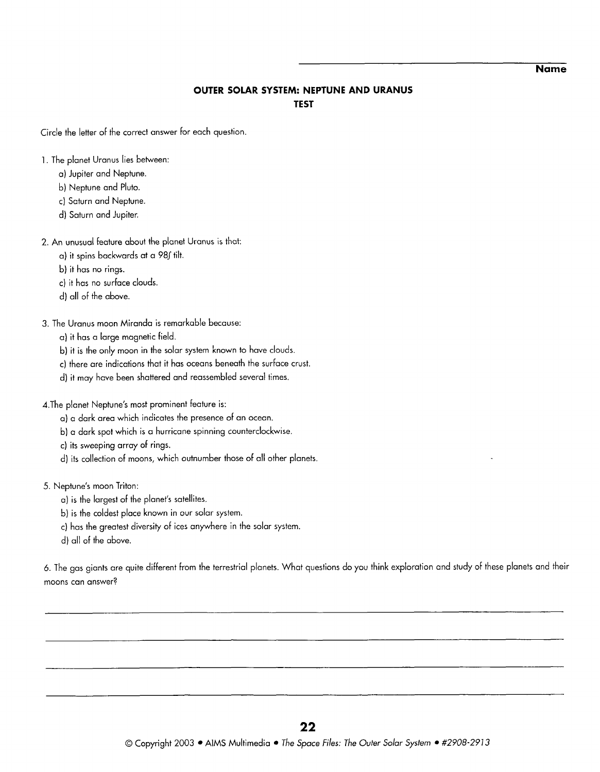**Name** 

## **OUTER SOLAR SYSTEM: NEPTUNE AND URANUS TEST**

Circle the letter of the correct answer for each question.

- I. The planet Uranus lies between:
	- a) Jupiter and Neptune.
	- b) Neptune and Pluto.
	- c) Saturn and Neptune.
	- d) Saturn and Jupiter.

## 2. An unusual feature about the planet Uranus is that:

- a) it spins backwards at a 98f tilt.
- b) it has no rings.
- C) it has no surface clouds.
- d) all of the above.
- *3.* The Uranus moon Miranda is remarkable because:

a) it has a large magnetic field.

- b) it is the only moon in the solar system known to have clouds.
- c) there are indications that it has oceans beneath the surface crust.
- d) it may have been shattered and reassembled several times.

4.The planet Neptune's most prominent feature is:

- a) a dark area which indicates the presence of an ocean.
- b) a dark spot which is a hurricane spinning counterclockwise.
- c) its sweeping array of rings.
- d) its collection of moons, which outnumber those of all other planets.

## 5. Neptune's moon Triton:

- a) is the largest of the planet's satellites.
- b) is the coldest place known in our solar system.
- c) has the greatest diversity of ices anywhere in the solar system.
- d) all of the above.

6. The gas giants are quite different from the terrestrial planets. What questions do you think exploration and study of these planets and their moons can answer?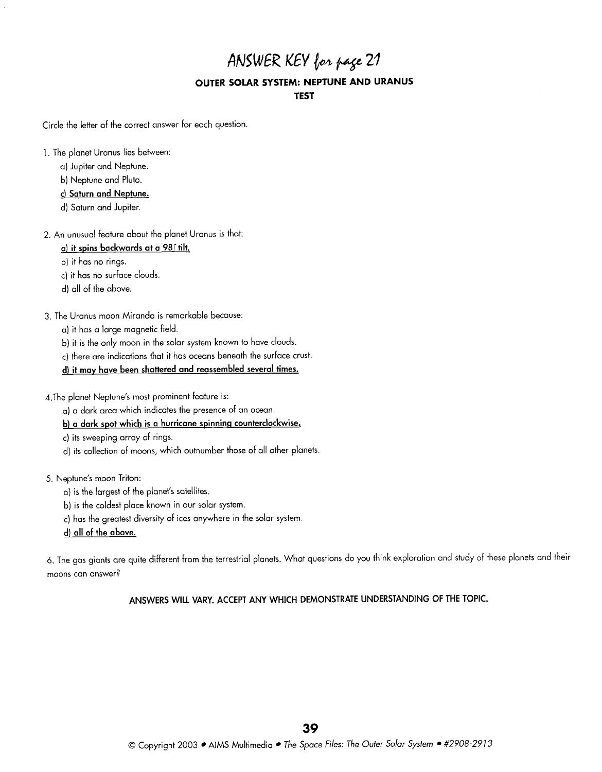## ANSWER KEY for page 21 **OUTER SOLAR SYSTEM: NEPTUNE AND URANUS TEST**

Circle the letter of the correct answer for each question.

- I. The planet Uranus lies between:
	- a) Jupiter and Neptune.
	- b) Neptune and Pluto.
	- **C) Saturn and Neptune.**
	- d) Saturn and Jupiter.
- 2. An unusual feature about the planet Uranus is that:

## **a) it spins backwards at a 98r tilt.**

b) it has no rings.

C) it has no surface clouds.

- d) all of the above.
- 3. The Uranus moon Miranda is remarkable because:
	- a) it has a large magnetic field.
	- b) it is the only moon in the solar system known to have clouds.
	- c) there are indications that it has oceans beneath the surface crust.
	- **d) it may have been shattered and reassembled several times.**

d.The planet Neptune's most prominent feature is:

- a) a dark area which indicates the presence of an ocean.
- **b) a dark spot which is a hurricane spinninq counterclockwise.**
- c) its sweeping array of rings.
- d) its collection of moons, which outnumber those of all other planets.
- 5. Neptune's moon Triton:
	- a) is the largest of the planet's satellites.
	- b) is the coldest place known in our solar system.
	- c) has the greatest diversity of ices anywhere in the solar system.
	- **d) all of the above.**

6. The gas giants are quite different from the terrestrial planets. What questions do you think exploration and study of these planets and their moons can answer?

**ANSWERS WILL VARY. ACCEPT ANY WHICH DEMONSTRATE UNDERSTANDING OF THE TOPIC.**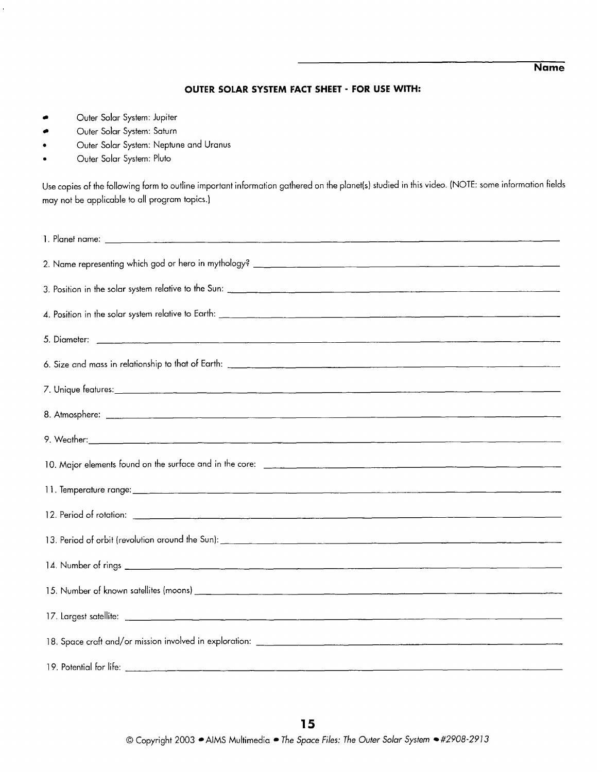## **Name**

#### **OUTER SOLAR SYSTEM FACT SHEET** - **FOR USE WITH:**

- **c** Outer Solar System: Jupiter
- **c** Outer Solar System: Saturn
- **a** Outer Solar System: Neptune and Uranus
- **a** Outer Solar System: Pluto

Use copies of the following form to outline important information gathered on the planet(s) studied in this video. (NOTE: some information fields may not be applicable to all program topics.)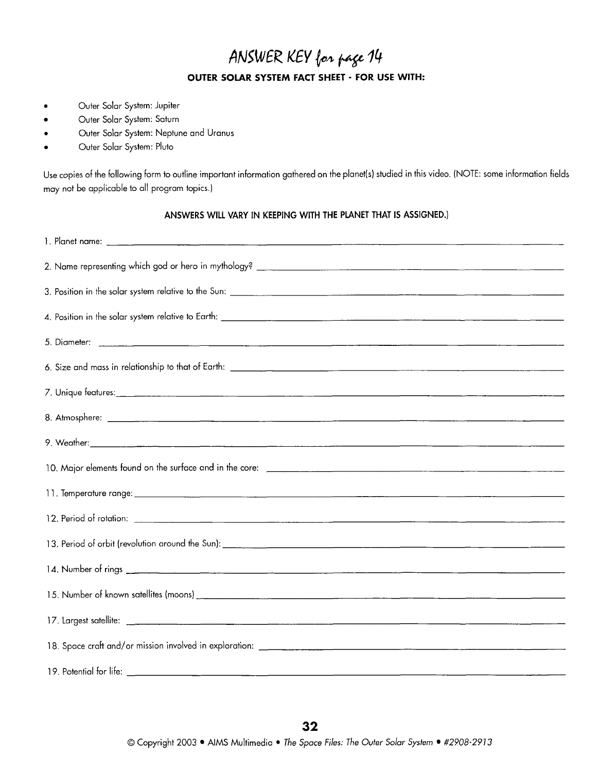## ANSWER KEY for page 14 **OUTER SOLAR SYSTEM FACT SHEET** - **FOR USE WITH:**

- **way** Outer Solar System: Jupiter
- Outer Solar System: Saturn  $\bullet$
- Outer Solar System: Neptune and Uranus  $\bullet$
- Outer Solar System: Pluto  $\bullet$

Use copies of the following form to outline important information gathered on the planet(s) studied in this video. (NOTE: some information fields may not be applicable to all program topics.)

ANSWERS WILL VARY IN KEEPING WITH THE PLANET THAT IS ASSIGNED.)